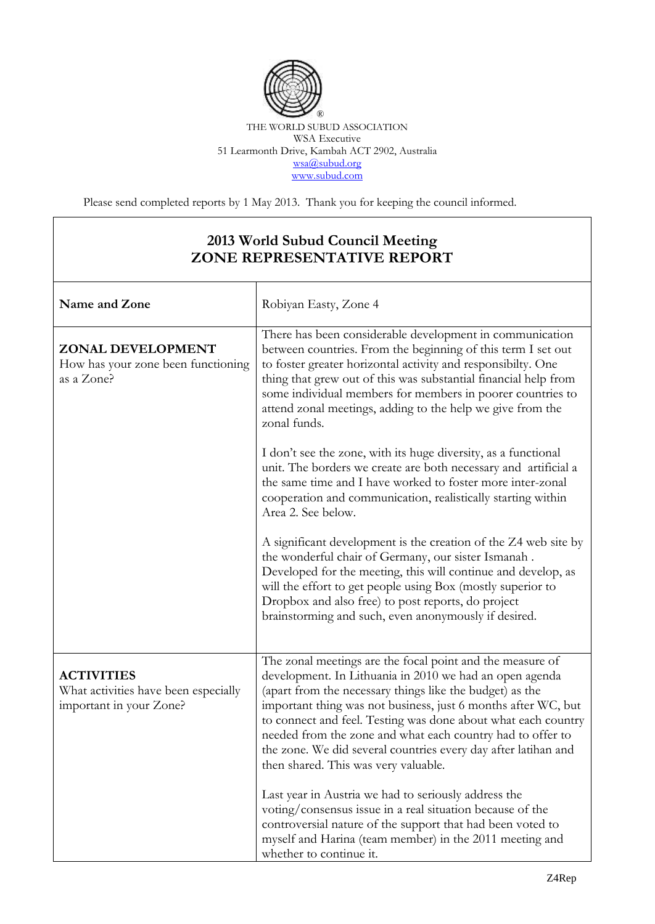

## THE WORLD SUBUD ASSOCIATION WSA Executive 51 Learmonth Drive, Kambah ACT 2902, Australia [wsa@subud.org](mailto:wsa@subud.org) [www.subud.com](http://www.subud.com/)

Please send completed reports by 1 May 2013. Thank you for keeping the council informed.

## **2013 World Subud Council Meeting ZONE REPRESENTATIVE REPORT**

| Name and Zone                                                                        | Robiyan Easty, Zone 4                                                                                                                                                                                                                                                                                                                                                                                                                                                                      |
|--------------------------------------------------------------------------------------|--------------------------------------------------------------------------------------------------------------------------------------------------------------------------------------------------------------------------------------------------------------------------------------------------------------------------------------------------------------------------------------------------------------------------------------------------------------------------------------------|
| ZONAL DEVELOPMENT<br>How has your zone been functioning<br>as a Zone?                | There has been considerable development in communication<br>between countries. From the beginning of this term I set out<br>to foster greater horizontal activity and responsibilty. One<br>thing that grew out of this was substantial financial help from<br>some individual members for members in poorer countries to<br>attend zonal meetings, adding to the help we give from the<br>zonal funds.                                                                                    |
|                                                                                      | I don't see the zone, with its huge diversity, as a functional<br>unit. The borders we create are both necessary and artificial a<br>the same time and I have worked to foster more inter-zonal<br>cooperation and communication, realistically starting within<br>Area 2. See below.                                                                                                                                                                                                      |
|                                                                                      | A significant development is the creation of the Z4 web site by<br>the wonderful chair of Germany, our sister Ismanah.<br>Developed for the meeting, this will continue and develop, as<br>will the effort to get people using Box (mostly superior to<br>Dropbox and also free) to post reports, do project<br>brainstorming and such, even anonymously if desired.                                                                                                                       |
| <b>ACTIVITIES</b><br>What activities have been especially<br>important in your Zone? | The zonal meetings are the focal point and the measure of<br>development. In Lithuania in 2010 we had an open agenda<br>(apart from the necessary things like the budget) as the<br>important thing was not business, just 6 months after WC, but<br>to connect and feel. Testing was done about what each country<br>needed from the zone and what each country had to offer to<br>the zone. We did several countries every day after latihan and<br>then shared. This was very valuable. |
|                                                                                      | Last year in Austria we had to seriously address the<br>voting/consensus issue in a real situation because of the<br>controversial nature of the support that had been voted to<br>myself and Harina (team member) in the 2011 meeting and<br>whether to continue it.                                                                                                                                                                                                                      |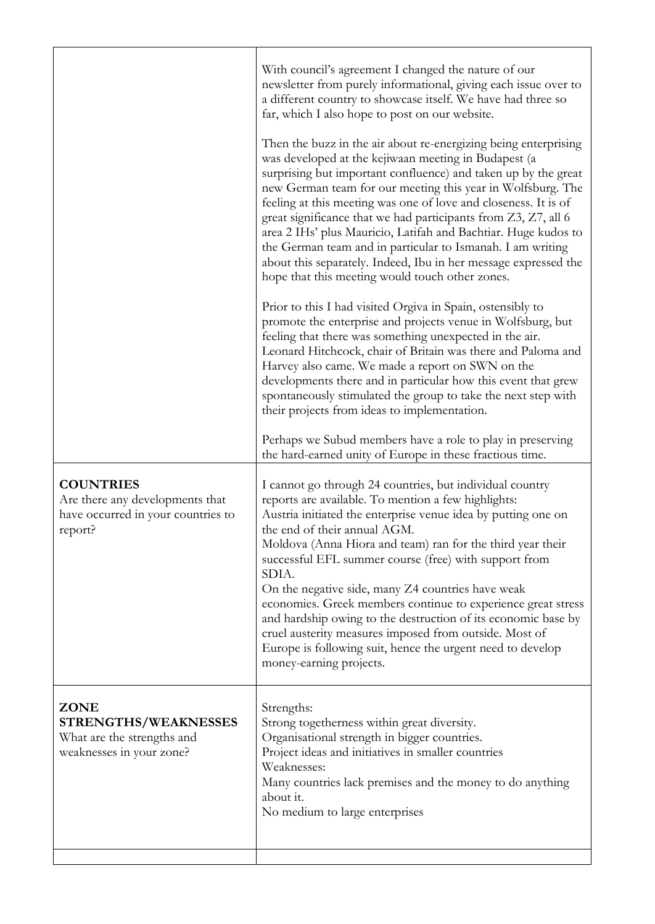|                                                                                                      | With council's agreement I changed the nature of our<br>newsletter from purely informational, giving each issue over to<br>a different country to showcase itself. We have had three so<br>far, which I also hope to post on our website.<br>Then the buzz in the air about re-energizing being enterprising<br>was developed at the kejiwaan meeting in Budapest (a<br>surprising but important confluence) and taken up by the great<br>new German team for our meeting this year in Wolfsburg. The<br>feeling at this meeting was one of love and closeness. It is of<br>great significance that we had participants from Z3, Z7, all 6<br>area 2 IHs' plus Mauricio, Latifah and Bachtiar. Huge kudos to<br>the German team and in particular to Ismanah. I am writing<br>about this separately. Indeed, Ibu in her message expressed the<br>hope that this meeting would touch other zones. |
|------------------------------------------------------------------------------------------------------|--------------------------------------------------------------------------------------------------------------------------------------------------------------------------------------------------------------------------------------------------------------------------------------------------------------------------------------------------------------------------------------------------------------------------------------------------------------------------------------------------------------------------------------------------------------------------------------------------------------------------------------------------------------------------------------------------------------------------------------------------------------------------------------------------------------------------------------------------------------------------------------------------|
|                                                                                                      | Prior to this I had visited Orgiva in Spain, ostensibly to<br>promote the enterprise and projects venue in Wolfsburg, but<br>feeling that there was something unexpected in the air.<br>Leonard Hitchcock, chair of Britain was there and Paloma and<br>Harvey also came. We made a report on SWN on the<br>developments there and in particular how this event that grew<br>spontaneously stimulated the group to take the next step with<br>their projects from ideas to implementation.                                                                                                                                                                                                                                                                                                                                                                                                       |
|                                                                                                      | Perhaps we Subud members have a role to play in preserving<br>the hard-earned unity of Europe in these fractious time.                                                                                                                                                                                                                                                                                                                                                                                                                                                                                                                                                                                                                                                                                                                                                                           |
| <b>COUNTRIES</b><br>Are there any developments that<br>have occurred in your countries to<br>report? | I cannot go through 24 countries, but individual country<br>reports are available. To mention a few highlights:<br>Austria initiated the enterprise venue idea by putting one on<br>the end of their annual AGM.<br>Moldova (Anna Hiora and team) ran for the third year their<br>successful EFL summer course (free) with support from<br>SDIA.<br>On the negative side, many Z4 countries have weak<br>economies. Greek members continue to experience great stress<br>and hardship owing to the destruction of its economic base by<br>cruel austerity measures imposed from outside. Most of<br>Europe is following suit, hence the urgent need to develop<br>money-earning projects.                                                                                                                                                                                                        |
| <b>ZONE</b><br>STRENGTHS/WEAKNESSES<br>What are the strengths and<br>weaknesses in your zone?        | Strengths:<br>Strong togetherness within great diversity.<br>Organisational strength in bigger countries.<br>Project ideas and initiatives in smaller countries<br>Weaknesses:<br>Many countries lack premises and the money to do anything<br>about it.<br>No medium to large enterprises                                                                                                                                                                                                                                                                                                                                                                                                                                                                                                                                                                                                       |
|                                                                                                      |                                                                                                                                                                                                                                                                                                                                                                                                                                                                                                                                                                                                                                                                                                                                                                                                                                                                                                  |